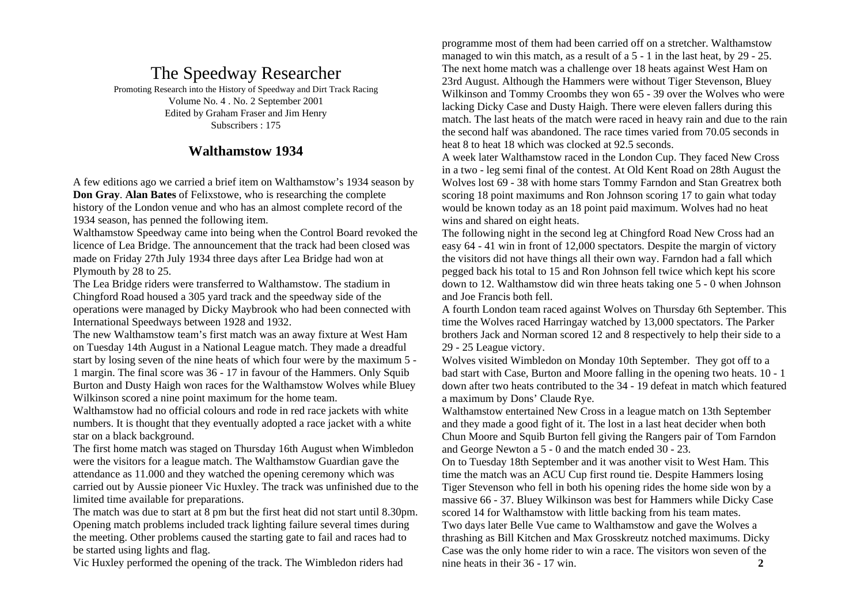# The Speedway Researcher

Promoting Research into the History of Speedway and Dirt Track Racing Volume No. 4 . No. 2 September 2001 Edited by Graham Fraser and Jim Henry Subscribers : 175

# **Walthamstow 1934**

A few editions ago we carried a brief item on Walthamstow's 1934 season by **Don Gray**. **Alan Bates** of Felixstowe, who is researching the complete history of the London venue and who has an almost complete record of the 1934 season, has penned the following item.

Walthamstow Speedway came into being when the Control Board revoked the licence of Lea Bridge. The announcement that the track had been closed was made on Friday 27th July 1934 three days after Lea Bridge had won at Plymouth by 28 to 25.

The Lea Bridge riders were transferred to Walthamstow. The stadium in Chingford Road housed a 305 yard track and the speedway side of the operations were managed by Dicky Maybrook who had been connected with International Speedways between 1928 and 1932.

The new Walthamstow team's first match was an away fixture at West Ham on Tuesday 14th August in a National League match. They made a dreadful start by losing seven of the nine heats of which four were by the maximum 5 - 1 margin. The final score was 36 - 17 in favour of the Hammers. Only Squib Burton and Dusty Haigh won races for the Walthamstow Wolves while Bluey Wilkinson scored a nine point maximum for the home team.

Walthamstow had no official colours and rode in red race jackets with white numbers. It is thought that they eventually adopted a race jacket with a white star on a black background.

The first home match was staged on Thursday 16th August when Wimbledon were the visitors for a league match. The Walthamstow Guardian gave the attendance as 11.000 and they watched the opening ceremony which was carried out by Aussie pioneer Vic Huxley. The track was unfinished due to the limited time available for preparations.

The match was due to start at 8 pm but the first heat did not start until 8.30pm. Opening match problems included track lighting failure several times during the meeting. Other problems caused the starting gate to fail and races had to be started using lights and flag.

Vic Huxley performed the opening of the track. The Wimbledon riders had

programme most of them had been carried off on a stretcher. Walthamstow managed to win this match, as a result of a 5 - 1 in the last heat, by 29 - 25. The next home match was a challenge over 18 heats against West Ham on 23rd August. Although the Hammers were without Tiger Stevenson, Bluey Wilkinson and Tommy Croombs they won 65 - 39 over the Wolves who were lacking Dicky Case and Dusty Haigh. There were eleven fallers during this match. The last heats of the match were raced in heavy rain and due to the rain the second half was abandoned. The race times varied from 70.05 seconds in heat 8 to heat 18 which was clocked at 92.5 seconds.

A week later Walthamstow raced in the London Cup. They faced New Cross in a two - leg semi final of the contest. At Old Kent Road on 28th August the Wolves lost 69 - 38 with home stars Tommy Farndon and Stan Greatrex both scoring 18 point maximums and Ron Johnson scoring 17 to gain what today would be known today as an 18 point paid maximum. Wolves had no heat wins and shared on eight heats.

The following night in the second leg at Chingford Road New Cross had an easy 64 - 41 win in front of 12,000 spectators. Despite the margin of victory the visitors did not have things all their own way. Farndon had a fall which pegged back his total to 15 and Ron Johnson fell twice which kept his score down to 12. Walthamstow did win three heats taking one 5 - 0 when Johnson and Joe Francis both fell.

A fourth London team raced against Wolves on Thursday 6th September. This time the Wolves raced Harringay watched by 13,000 spectators. The Parker brothers Jack and Norman scored 12 and 8 respectively to help their side to a 29 - 25 League victory.

Wolves visited Wimbledon on Monday 10th September. They got off to a bad start with Case, Burton and Moore falling in the opening two heats. 10 - 1 down after two heats contributed to the 34 - 19 defeat in match which featured a maximum by Dons' Claude Rye.

Walthamstow entertained New Cross in a league match on 13th September and they made a good fight of it. The lost in a last heat decider when both Chun Moore and Squib Burton fell giving the Rangers pair of Tom Farndon and George Newton a 5 - 0 and the match ended 30 - 23.

On to Tuesday 18th September and it was another visit to West Ham. This time the match was an ACU Cup first round tie. Despite Hammers losing Tiger Stevenson who fell in both his opening rides the home side won by a massive 66 - 37. Bluey Wilkinson was best for Hammers while Dicky Case scored 14 for Walthamstow with little backing from his team mates.

Two days later Belle Vue came to Walthamstow and gave the Wolves a thrashing as Bill Kitchen and Max Grosskreutz notched maximums. Dicky Case was the only home rider to win a race. The visitors won seven of the nine heats in their 36 - 17 win. **2**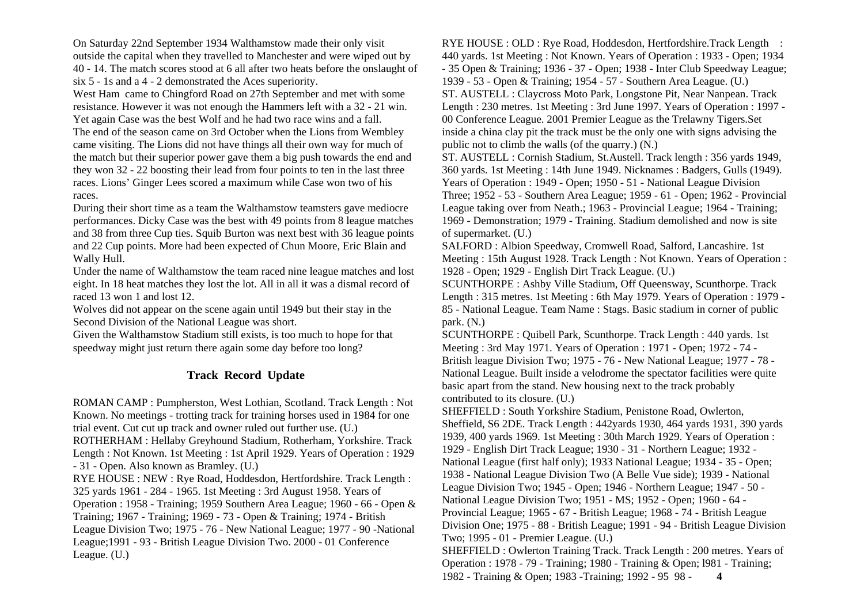On Saturday 22nd September 1934 Walthamstow made their only visit outside the capital when they travelled to Manchester and were wiped out by 40 - 14. The match scores stood at 6 all after two heats before the onslaught of six 5 - 1s and a 4 - 2 demonstrated the Aces superiority.

West Ham came to Chingford Road on 27th September and met with some resistance. However it was not enough the Hammers left with a 32 - 21 win. Yet again Case was the best Wolf and he had two race wins and a fall. The end of the season came on 3rd October when the Lions from Wembley came visiting. The Lions did not have things all their own way for much of the match but their superior power gave them a big push towards the end and they won 32 - 22 boosting their lead from four points to ten in the last three races. Lions' Ginger Lees scored a maximum while Case won two of his races.

During their short time as a team the Walthamstow teamsters gave mediocre performances. Dicky Case was the best with 49 points from 8 league matches and 38 from three Cup ties. Squib Burton was next best with 36 league points and 22 Cup points. More had been expected of Chun Moore, Eric Blain and Wally Hull.

Under the name of Walthamstow the team raced nine league matches and lost eight. In 18 heat matches they lost the lot. All in all it was a dismal record of raced 13 won 1 and lost 12.

Wolves did not appear on the scene again until 1949 but their stay in the Second Division of the National League was short.

Given the Walthamstow Stadium still exists, is too much to hope for that speedway might just return there again some day before too long?

#### **Track Record Update**

ROMAN CAMP : Pumpherston, West Lothian, Scotland. Track Length : Not Known. No meetings - trotting track for training horses used in 1984 for one trial event. Cut cut up track and owner ruled out further use. (U.) ROTHERHAM : Hellaby Greyhound Stadium, Rotherham, Yorkshire. Track Length : Not Known. 1st Meeting : 1st April 1929. Years of Operation : 1929 - 31 - Open. Also known as Bramley. (U.) RYE HOUSE : NEW : Rye Road, Hoddesdon, Hertfordshire. Track Length : 325 yards 1961 - 284 - 1965. 1st Meeting : 3rd August 1958. Years of Operation : 1958 - Training; 1959 Southern Area League; 1960 - 66 - Open & Training; 1967 - Training; 1969 - 73 - Open & Training; 1974 - British League Division Two; 1975 - 76 - New National League; 1977 - 90 -National League;1991 - 93 - British League Division Two. 2000 - 01 Conference League. (U.)

RYE HOUSE : OLD : Rye Road, Hoddesdon, Hertfordshire.Track Length : 440 yards. 1st Meeting : Not Known. Years of Operation : 1933 - Open; 1934 - 35 Open & Training; 1936 - 37 - Open; 1938 - Inter Club Speedway League; 1939 - 53 - Open & Training; 1954 - 57 - Southern Area League. (U.) ST. AUSTELL : Claycross Moto Park, Longstone Pit, Near Nanpean. Track Length : 230 metres. 1st Meeting : 3rd June 1997. Years of Operation : 1997 - 00 Conference League. 2001 Premier League as the Trelawny Tigers.Set inside a china clay pit the track must be the only one with signs advising the public not to climb the walls (of the quarry.) (N.) ST. AUSTELL : Cornish Stadium, St.Austell. Track length : 356 yards 1949, 360 yards. 1st Meeting : 14th June 1949. Nicknames : Badgers, Gulls (1949). Years of Operation : 1949 - Open; 1950 - 51 - National League Division Three; 1952 - 53 - Southern Area League; 1959 - 61 - Open; 1962 - Provincial League taking over from Neath.; 1963 - Provincial League; 1964 - Training; 1969 - Demonstration; 1979 - Training. Stadium demolished and now is site of supermarket. (U.)

SALFORD : Albion Speedway, Cromwell Road, Salford, Lancashire. 1st Meeting : 15th August 1928. Track Length : Not Known. Years of Operation : 1928 - Open; 1929 - English Dirt Track League. (U.)

SCUNTHORPE : Ashby Ville Stadium, Off Queensway, Scunthorpe. Track Length : 315 metres. 1st Meeting : 6th May 1979. Years of Operation : 1979 - 85 - National League. Team Name : Stags. Basic stadium in corner of public park. (N.)

SCUNTHORPE : Quibell Park, Scunthorpe. Track Length : 440 yards. 1st Meeting : 3rd May 1971. Years of Operation : 1971 - Open; 1972 - 74 - British league Division Two; 1975 - 76 - New National League; 1977 - 78 - National League. Built inside a velodrome the spectator facilities were quite basic apart from the stand. New housing next to the track probably contributed to its closure. (U.)

SHEFFIELD : South Yorkshire Stadium, Penistone Road, Owlerton, Sheffield, S6 2DE. Track Length : 442yards 1930, 464 yards 1931, 390 yards 1939, 400 yards 1969. 1st Meeting : 30th March 1929. Years of Operation : 1929 - English Dirt Track League; 1930 - 31 - Northern League; 1932 - National League (first half only); 1933 National League; 1934 - 35 - Open; 1938 - National League Division Two (A Belle Vue side); 1939 - National League Division Two; 1945 - Open; 1946 - Northern League; 1947 - 50 - National League Division Two; 1951 - MS; 1952 - Open; 1960 - 64 - Provincial League; 1965 - 67 - British League; 1968 - 74 - British League Division One; 1975 - 88 - British League; 1991 - 94 - British League Division Two; 1995 - 01 - Premier League. (U.) SHEFFIELD : Owlerton Training Track. Track Length : 200 metres. Years of Operation : 1978 - 79 - Training; 1980 - Training & Open; l981 - Training; 1982 - Training & Open; 1983 -Training; 1992 - 95 98 - **4**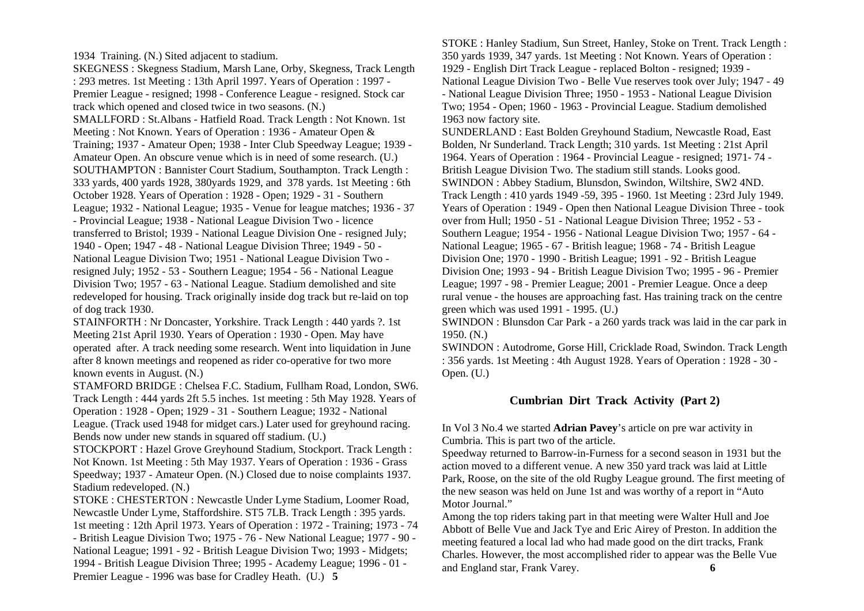1934 Training. (N.) Sited adjacent to stadium.

SKEGNESS : Skegness Stadium, Marsh Lane, Orby, Skegness, Track Length : 293 metres. 1st Meeting : 13th April 1997. Years of Operation : 1997 - Premier League - resigned; 1998 - Conference League - resigned. Stock car track which opened and closed twice in two seasons. (N.) SMALLFORD : St.Albans - Hatfield Road. Track Length : Not Known. 1st Meeting : Not Known. Years of Operation : 1936 - Amateur Open & Training; 1937 - Amateur Open; 1938 - Inter Club Speedway League; 1939 - Amateur Open. An obscure venue which is in need of some research. (U.) SOUTHAMPTON : Bannister Court Stadium, Southampton. Track Length : 333 yards, 400 yards 1928, 380yards 1929, and 378 yards. 1st Meeting : 6th October 1928. Years of Operation : 1928 - Open; 1929 - 31 - Southern League; 1932 - National League; 1935 - Venue for league matches; 1936 - 37 - Provincial League; 1938 - National League Division Two - licence transferred to Bristol; 1939 - National League Division One - resigned July; 1940 - Open; 1947 - 48 - National League Division Three; 1949 - 50 - National League Division Two; 1951 - National League Division Two resigned July; 1952 - 53 - Southern League; 1954 - 56 - National League Division Two; 1957 - 63 - National League. Stadium demolished and site redeveloped for housing. Track originally inside dog track but re-laid on top of dog track 1930.

STAINFORTH : Nr Doncaster, Yorkshire. Track Length : 440 yards ?. 1st Meeting 21st April 1930. Years of Operation : 1930 - Open. May have operated after. A track needing some research. Went into liquidation in June after 8 known meetings and reopened as rider co-operative for two more known events in August. (N.)

STAMFORD BRIDGE : Chelsea F.C. Stadium, Fullham Road, London, SW6. Track Length : 444 yards 2ft 5.5 inches. 1st meeting : 5th May 1928. Years of Operation : 1928 - Open; 1929 - 31 - Southern League; 1932 - National

League. (Track used 1948 for midget cars.) Later used for greyhound racing. Bends now under new stands in squared off stadium. (U.)

STOCKPORT : Hazel Grove Greyhound Stadium, Stockport. Track Length : Not Known. 1st Meeting : 5th May 1937. Years of Operation : 1936 - Grass Speedway; 1937 - Amateur Open. (N.) Closed due to noise complaints 1937. Stadium redeveloped. (N.)

STOKE : CHESTERTON : Newcastle Under Lyme Stadium, Loomer Road, Newcastle Under Lyme, Staffordshire. ST5 7LB. Track Length : 395 yards. 1st meeting : 12th April 1973. Years of Operation : 1972 - Training; 1973 - 74 - British League Division Two; 1975 - 76 - New National League; 1977 - 90 - National League; 1991 - 92 - British League Division Two; 1993 - Midgets; 1994 - British League Division Three; 1995 - Academy League; 1996 - 01 - Premier League - 1996 was base for Cradley Heath. (U.) **5** 

STOKE : Hanley Stadium, Sun Street, Hanley, Stoke on Trent. Track Length : 350 yards 1939, 347 yards. 1st Meeting : Not Known. Years of Operation : 1929 - English Dirt Track League - replaced Bolton - resigned; 1939 - National League Division Two - Belle Vue reserves took over July; 1947 - 49 - National League Division Three; 1950 - 1953 - National League Division Two; 1954 - Open; 1960 - 1963 - Provincial League. Stadium demolished 1963 now factory site. SUNDERLAND : East Bolden Greyhound Stadium, Newcastle Road, East Bolden, Nr Sunderland. Track Length; 310 yards. 1st Meeting : 21st April 1964. Years of Operation : 1964 - Provincial League - resigned; 1971- 74 - British League Division Two. The stadium still stands. Looks good. SWINDON : Abbey Stadium, Blunsdon, Swindon, Wiltshire, SW2 4ND. Track Length : 410 yards 1949 -59, 395 - 1960. 1st Meeting : 23rd July 1949. Years of Operation : 1949 - Open then National League Division Three - took over from Hull; 1950 - 51 - National League Division Three; 1952 - 53 - Southern League; 1954 - 1956 - National League Division Two; 1957 - 64 - National League; 1965 - 67 - British league; 1968 - 74 - British League Division One; 1970 - 1990 - British League; 1991 - 92 - British League Division One; 1993 - 94 - British League Division Two; 1995 - 96 - Premier League; 1997 - 98 - Premier League; 2001 - Premier League. Once a deep rural venue - the houses are approaching fast. Has training track on the centre green which was used 1991 - 1995. (U.)

SWINDON : Blunsdon Car Park - a 260 yards track was laid in the car park in 1950. (N.)

SWINDON : Autodrome, Gorse Hill, Cricklade Road, Swindon. Track Length : 356 yards. 1st Meeting : 4th August 1928. Years of Operation : 1928 - 30 - Open. (U.)

#### **Cumbrian Dirt Track Activity (Part 2)**

In Vol 3 No.4 we started **Adrian Pavey**'s article on pre war activity in Cumbria. This is part two of the article.

Speedway returned to Barrow-in-Furness for a second season in 1931 but the action moved to a different venue. A new 350 yard track was laid at Little Park, Roose, on the site of the old Rugby League ground. The first meeting of the new season was held on June 1st and was worthy of a report in "Auto Motor Journal."

Among the top riders taking part in that meeting were Walter Hull and Joe Abbott of Belle Vue and Jack Tye and Eric Airey of Preston. In addition the meeting featured a local lad who had made good on the dirt tracks, Frank Charles. However, the most accomplished rider to appear was the Belle Vue and England star, Frank Varey. **6**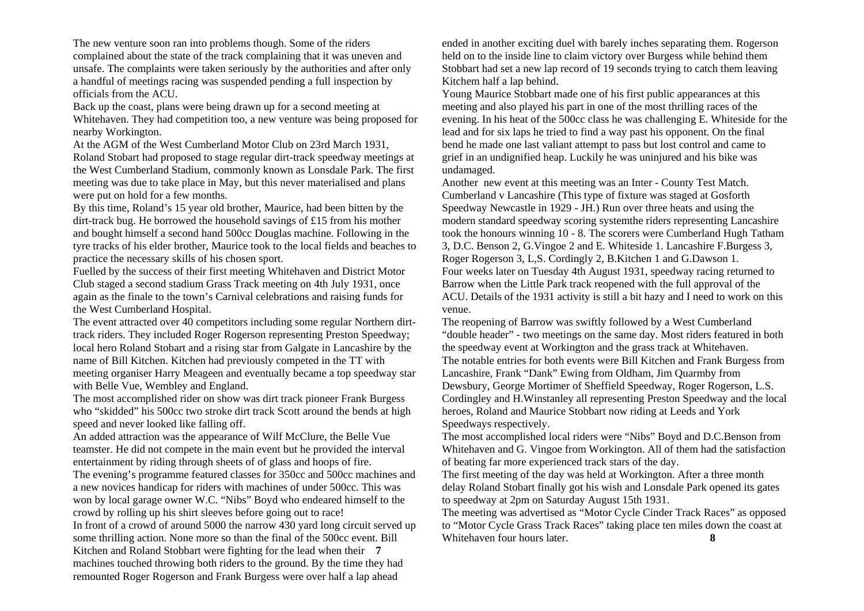The new venture soon ran into problems though. Some of the riders complained about the state of the track complaining that it was uneven and unsafe. The complaints were taken seriously by the authorities and after only a handful of meetings racing was suspended pending a full inspection by officials from the ACU.

Back up the coast, plans were being drawn up for a second meeting at Whitehaven. They had competition too, a new venture was being proposed for nearby Workington.

At the AGM of the West Cumberland Motor Club on 23rd March 1931, Roland Stobart had proposed to stage regular dirt-track speedway meetings at the West Cumberland Stadium, commonly known as Lonsdale Park. The first meeting was due to take place in May, but this never materialised and plans were put on hold for a few months.

By this time, Roland's 15 year old brother, Maurice, had been bitten by the dirt-track bug. He borrowed the household savings of £15 from his mother and bought himself a second hand 500cc Douglas machine. Following in the tyre tracks of his elder brother, Maurice took to the local fields and beaches to practice the necessary skills of his chosen sport.

Fuelled by the success of their first meeting Whitehaven and District Motor Club staged a second stadium Grass Track meeting on 4th July 1931, once again as the finale to the town's Carnival celebrations and raising funds for the West Cumberland Hospital.

The event attracted over 40 competitors including some regular Northern dirttrack riders. They included Roger Rogerson representing Preston Speedway; local hero Roland Stobart and a rising star from Galgate in Lancashire by the name of Bill Kitchen. Kitchen had previously competed in the TT with meeting organiser Harry Meageen and eventually became a top speedway star with Belle Vue, Wembley and England.

The most accomplished rider on show was dirt track pioneer Frank Burgess who "skidded" his 500cc two stroke dirt track Scott around the bends at high speed and never looked like falling off.

An added attraction was the appearance of Wilf McClure, the Belle Vue teamster. He did not compete in the main event but he provided the interval entertainment by riding through sheets of of glass and hoops of fire. The evening's programme featured classes for 350cc and 500cc machines and a new novices handicap for riders with machines of under 500cc. This was won by local garage owner W.C. "Nibs" Boyd who endeared himself to the crowd by rolling up his shirt sleeves before going out to race! In front of a crowd of around 5000 the narrow 430 yard long circuit served up some thrilling action. None more so than the final of the 500cc event. Bill Kitchen and Roland Stobbart were fighting for the lead when their **7** machines touched throwing both riders to the ground. By the time they had remounted Roger Rogerson and Frank Burgess were over half a lap ahead

ended in another exciting duel with barely inches separating them. Rogerson held on to the inside line to claim victory over Burgess while behind them Stobbart had set a new lap record of 19 seconds trying to catch them leaving Kitchem half a lap behind.

Young Maurice Stobbart made one of his first public appearances at this meeting and also played his part in one of the most thrilling races of the evening. In his heat of the 500cc class he was challenging E. Whiteside for the lead and for six laps he tried to find a way past his opponent. On the final bend he made one last valiant attempt to pass but lost control and came to grief in an undignified heap. Luckily he was uninjured and his bike was undamaged.

Another new event at this meeting was an Inter - County Test Match. Cumberland v Lancashire (This type of fixture was staged at Gosforth Speedway Newcastle in 1929 - JH.) Run over three heats and using the modern standard speedway scoring systemthe riders representing Lancashire took the honours winning 10 - 8. The scorers were Cumberland Hugh Tatham 3, D.C. Benson 2, G.Vingoe 2 and E. Whiteside 1. Lancashire F.Burgess 3, Roger Rogerson 3, L,S. Cordingly 2, B.Kitchen 1 and G.Dawson 1. Four weeks later on Tuesday 4th August 1931, speedway racing returned to Barrow when the Little Park track reopened with the full approval of the ACU. Details of the 1931 activity is still a bit hazy and I need to work on this venue.

The reopening of Barrow was swiftly followed by a West Cumberland "double header" - two meetings on the same day. Most riders featured in both the speedway event at Workington and the grass track at Whitehaven. The notable entries for both events were Bill Kitchen and Frank Burgess from Lancashire, Frank "Dank" Ewing from Oldham, Jim Quarmby from Dewsbury, George Mortimer of Sheffield Speedway, Roger Rogerson, L.S. Cordingley and H.Winstanley all representing Preston Speedway and the local heroes, Roland and Maurice Stobbart now riding at Leeds and York Speedways respectively.

The most accomplished local riders were "Nibs" Boyd and D.C.Benson from Whitehaven and G. Vingoe from Workington. All of them had the satisfaction of beating far more experienced track stars of the day.

The first meeting of the day was held at Workington. After a three month delay Roland Stobart finally got his wish and Lonsdale Park opened its gates to speedway at 2pm on Saturday August 15th 1931.

The meeting was advertised as "Motor Cycle Cinder Track Races" as opposed to "Motor Cycle Grass Track Races" taking place ten miles down the coast at Whitehaven four hours later. **8**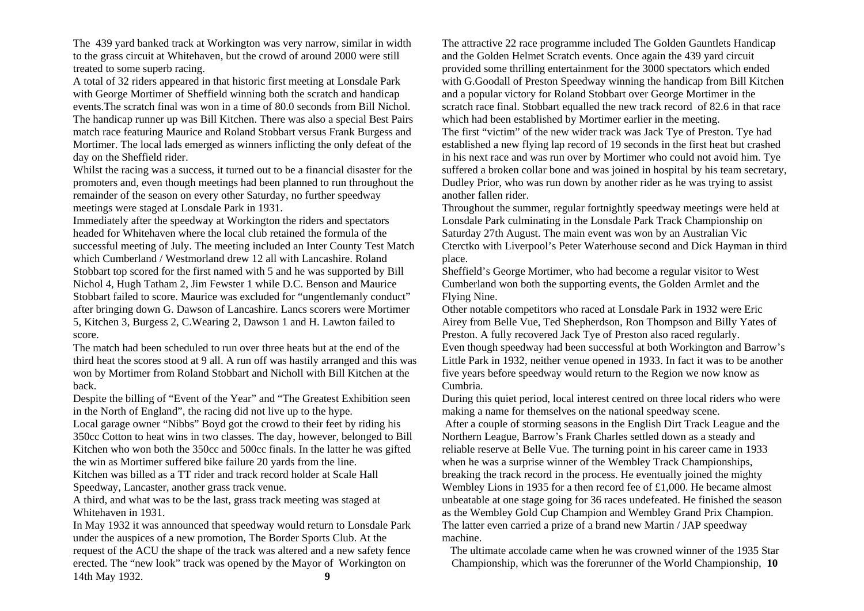The 439 yard banked track at Workington was very narrow, similar in width to the grass circuit at Whitehaven, but the crowd of around 2000 were still treated to some superb racing.

A total of 32 riders appeared in that historic first meeting at Lonsdale Park with George Mortimer of Sheffield winning both the scratch and handicap events.The scratch final was won in a time of 80.0 seconds from Bill Nichol. The handicap runner up was Bill Kitchen. There was also a special Best Pairs match race featuring Maurice and Roland Stobbart versus Frank Burgess and Mortimer. The local lads emerged as winners inflicting the only defeat of the day on the Sheffield rider.

Whilst the racing was a success, it turned out to be a financial disaster for the promoters and, even though meetings had been planned to run throughout the remainder of the season on every other Saturday, no further speedway meetings were staged at Lonsdale Park in 1931.

Immediately after the speedway at Workington the riders and spectators headed for Whitehaven where the local club retained the formula of the successful meeting of July. The meeting included an Inter County Test Match which Cumberland / Westmorland drew 12 all with Lancashire. Roland Stobbart top scored for the first named with 5 and he was supported by Bill Nichol 4, Hugh Tatham 2, Jim Fewster 1 while D.C. Benson and Maurice Stobbart failed to score. Maurice was excluded for "ungentlemanly conduct" after bringing down G. Dawson of Lancashire. Lancs scorers were Mortimer 5, Kitchen 3, Burgess 2, C.Wearing 2, Dawson 1 and H. Lawton failed to score.

The match had been scheduled to run over three heats but at the end of the third heat the scores stood at 9 all. A run off was hastily arranged and this was won by Mortimer from Roland Stobbart and Nicholl with Bill Kitchen at the back.

Despite the billing of "Event of the Year" and "The Greatest Exhibition seen in the North of England", the racing did not live up to the hype.

Local garage owner "Nibbs" Boyd got the crowd to their feet by riding his 350cc Cotton to heat wins in two classes. The day, however, belonged to Bill Kitchen who won both the 350cc and 500cc finals. In the latter he was gifted the win as Mortimer suffered bike failure 20 yards from the line.

Kitchen was billed as a TT rider and track record holder at Scale Hall Speedway, Lancaster, another grass track venue.

A third, and what was to be the last, grass track meeting was staged at Whitehaven in 1931.

In May 1932 it was announced that speedway would return to Lonsdale Park under the auspices of a new promotion, The Border Sports Club. At the request of the ACU the shape of the track was altered and a new safety fence erected. The "new look" track was opened by the Mayor of Workington on 14th May 1932. **9** 

The attractive 22 race programme included The Golden Gauntlets Handicap and the Golden Helmet Scratch events. Once again the 439 yard circuit provided some thrilling entertainment for the 3000 spectators which ended with G.Goodall of Preston Speedway winning the handicap from Bill Kitchen and a popular victory for Roland Stobbart over George Mortimer in the scratch race final. Stobbart equalled the new track record of 82.6 in that race which had been established by Mortimer earlier in the meeting. The first "victim" of the new wider track was Jack Tye of Preston. Tye had established a new flying lap record of 19 seconds in the first heat but crashed in his next race and was run over by Mortimer who could not avoid him. Tye suffered a broken collar bone and was joined in hospital by his team secretary, Dudley Prior, who was run down by another rider as he was trying to assist another fallen rider.

Throughout the summer, regular fortnightly speedway meetings were held at Lonsdale Park culminating in the Lonsdale Park Track Championship on Saturday 27th August. The main event was won by an Australian Vic Cterctko with Liverpool's Peter Waterhouse second and Dick Hayman in third place.

Sheffield's George Mortimer, who had become a regular visitor to West Cumberland won both the supporting events, the Golden Armlet and the Flying Nine.

Other notable competitors who raced at Lonsdale Park in 1932 were Eric Airey from Belle Vue, Ted Shepherdson, Ron Thompson and Billy Yates of Preston. A fully recovered Jack Tye of Preston also raced regularly. Even though speedway had been successful at both Workington and Barrow's Little Park in 1932, neither venue opened in 1933. In fact it was to be another five years before speedway would return to the Region we now know as Cumbria.

During this quiet period, local interest centred on three local riders who were making a name for themselves on the national speedway scene.

 After a couple of storming seasons in the English Dirt Track League and the Northern League, Barrow's Frank Charles settled down as a steady and reliable reserve at Belle Vue. The turning point in his career came in 1933 when he was a surprise winner of the Wembley Track Championships, breaking the track record in the process. He eventually joined the mighty Wembley Lions in 1935 for a then record fee of £1,000. He became almost unbeatable at one stage going for 36 races undefeated. He finished the season as the Wembley Gold Cup Champion and Wembley Grand Prix Champion. The latter even carried a prize of a brand new Martin / JAP speedway machine.

The ultimate accolade came when he was crowned winner of the 1935 Star Championship, which was the forerunner of the World Championship, **10**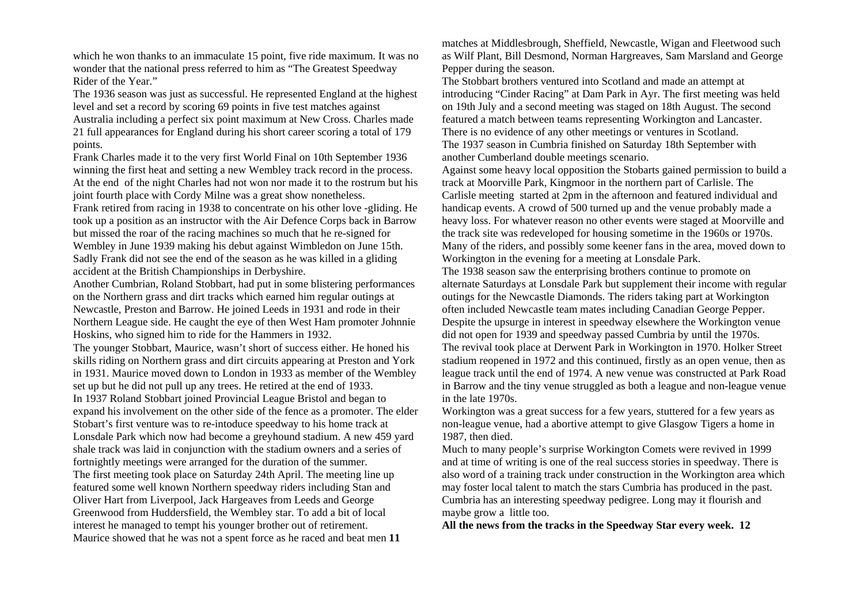which he won thanks to an immaculate 15 point, five ride maximum. It was no wonder that the national press referred to him as "The Greatest Speedway Rider of the Year."

The 1936 season was just as successful. He represented England at the highest level and set a record by scoring 69 points in five test matches against Australia including a perfect six point maximum at New Cross. Charles made 21 full appearances for England during his short career scoring a total of 179 points.

Frank Charles made it to the very first World Final on 10th September 1936 winning the first heat and setting a new Wembley track record in the process. At the end of the night Charles had not won nor made it to the rostrum but his joint fourth place with Cordy Milne was a great show nonetheless. Frank retired from racing in 1938 to concentrate on his other love -gliding. He took up a position as an instructor with the Air Defence Corps back in Barrow

but missed the roar of the racing machines so much that he re-signed for Wembley in June 1939 making his debut against Wimbledon on June 15th. Sadly Frank did not see the end of the season as he was killed in a gliding accident at the British Championships in Derbyshire.

Another Cumbrian, Roland Stobbart, had put in some blistering performances on the Northern grass and dirt tracks which earned him regular outings at Newcastle, Preston and Barrow. He joined Leeds in 1931 and rode in their Northern League side. He caught the eye of then West Ham promoter Johnnie Hoskins, who signed him to ride for the Hammers in 1932.

The younger Stobbart, Maurice, wasn't short of success either. He honed his skills riding on Northern grass and dirt circuits appearing at Preston and York in 1931. Maurice moved down to London in 1933 as member of the Wembley set up but he did not pull up any trees. He retired at the end of 1933. In 1937 Roland Stobbart joined Provincial League Bristol and began to expand his involvement on the other side of the fence as a promoter. The elder Stobart's first venture was to re-intoduce speedway to his home track at Lonsdale Park which now had become a greyhound stadium. A new 459 yard shale track was laid in conjunction with the stadium owners and a series of fortnightly meetings were arranged for the duration of the summer. The first meeting took place on Saturday 24th April. The meeting line up featured some well known Northern speedway riders including Stan and Oliver Hart from Liverpool, Jack Hargeaves from Leeds and George Greenwood from Huddersfield, the Wembley star. To add a bit of local interest he managed to tempt his younger brother out of retirement. Maurice showed that he was not a spent force as he raced and beat men **11** 

matches at Middlesbrough, Sheffield, Newcastle, Wigan and Fleetwood such as Wilf Plant, Bill Desmond, Norman Hargreaves, Sam Marsland and George Pepper during the season.

The Stobbart brothers ventured into Scotland and made an attempt at introducing "Cinder Racing" at Dam Park in Ayr. The first meeting was held on 19th July and a second meeting was staged on 18th August. The second featured a match between teams representing Workington and Lancaster. There is no evidence of any other meetings or ventures in Scotland. The 1937 season in Cumbria finished on Saturday 18th September with another Cumberland double meetings scenario.

Against some heavy local opposition the Stobarts gained permission to build a track at Moorville Park, Kingmoor in the northern part of Carlisle. The Carlisle meeting started at 2pm in the afternoon and featured individual and handicap events. A crowd of 500 turned up and the venue probably made a heavy loss. For whatever reason no other events were staged at Moorville and the track site was redeveloped for housing sometime in the 1960s or 1970s. Many of the riders, and possibly some keener fans in the area, moved down to Workington in the evening for a meeting at Lonsdale Park.

The 1938 season saw the enterprising brothers continue to promote on alternate Saturdays at Lonsdale Park but supplement their income with regular outings for the Newcastle Diamonds. The riders taking part at Workington often included Newcastle team mates including Canadian George Pepper. Despite the upsurge in interest in speedway elsewhere the Workington venue did not open for 1939 and speedway passed Cumbria by until the 1970s. The revival took place at Derwent Park in Workington in 1970. Holker Street stadium reopened in 1972 and this continued, firstly as an open venue, then as league track until the end of 1974. A new venue was constructed at Park Road in Barrow and the tiny venue struggled as both a league and non-league venue in the late 1970s.

Workington was a great success for a few years, stuttered for a few years as non-league venue, had a abortive attempt to give Glasgow Tigers a home in 1987, then died.

Much to many people's surprise Workington Comets were revived in 1999 and at time of writing is one of the real success stories in speedway. There is also word of a training track under construction in the Workington area which may foster local talent to match the stars Cumbria has produced in the past. Cumbria has an interesting speedway pedigree. Long may it flourish and maybe grow a little too.

**All the news from the tracks in the Speedway Star every week. 12**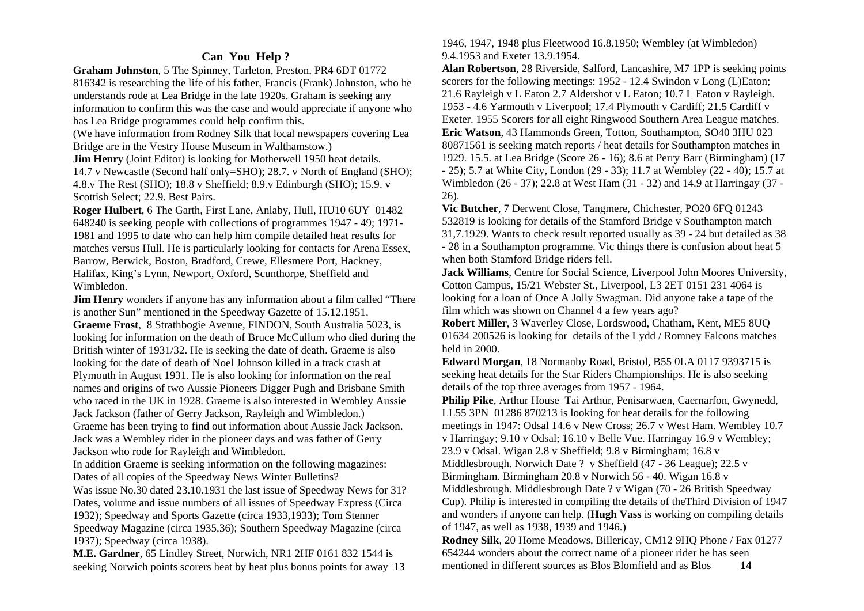### **Can You Help ?**

**Graham Johnston**, 5 The Spinney, Tarleton, Preston, PR4 6DT 01772 816342 is researching the life of his father, Francis (Frank) Johnston, who he understands rode at Lea Bridge in the late 1920s. Graham is seeking any information to confirm this was the case and would appreciate if anyone who has Lea Bridge programmes could help confirm this.

(We have information from Rodney Silk that local newspapers covering Lea Bridge are in the Vestry House Museum in Walthamstow.)

**Jim Henry** (Joint Editor) is looking for Motherwell 1950 heat details. 14.7 v Newcastle (Second half only=SHO); 28.7. v North of England (SHO); 4.8.v The Rest (SHO); 18.8 v Sheffield; 8.9.v Edinburgh (SHO); 15.9. v Scottish Select; 22.9. Best Pairs.

**Roger Hulbert**, 6 The Garth, First Lane, Anlaby, Hull, HU10 6UY 01482 648240 is seeking people with collections of programmes 1947 - 49; 1971- 1981 and 1995 to date who can help him compile detailed heat results for matches versus Hull. He is particularly looking for contacts for Arena Essex, Barrow, Berwick, Boston, Bradford, Crewe, Ellesmere Port, Hackney, Halifax, King's Lynn, Newport, Oxford, Scunthorpe, Sheffield and Wimbledon.

**Jim Henry** wonders if anyone has any information about a film called "There" is another Sun" mentioned in the Speedway Gazette of 15.12.1951. **Graeme Frost**, 8 Strathbogie Avenue, FINDON, South Australia 5023, is looking for information on the death of Bruce McCullum who died during the British winter of 1931/32. He is seeking the date of death. Graeme is also looking for the date of death of Noel Johnson killed in a track crash at Plymouth in August 1931. He is also looking for information on the real names and origins of two Aussie Pioneers Digger Pugh and Brisbane Smith who raced in the UK in 1928. Graeme is also interested in Wembley Aussie Jack Jackson (father of Gerry Jackson, Rayleigh and Wimbledon.) Graeme has been trying to find out information about Aussie Jack Jackson. Jack was a Wembley rider in the pioneer days and was father of Gerry Jackson who rode for Rayleigh and Wimbledon.

In addition Graeme is seeking information on the following magazines: Dates of all copies of the Speedway News Winter Bulletins?

Was issue No.30 dated 23.10.1931 the last issue of Speedway News for 31? Dates, volume and issue numbers of all issues of Speedway Express (Circa 1932); Speedway and Sports Gazette (circa 1933,1933); Tom Stenner Speedway Magazine (circa 1935,36); Southern Speedway Magazine (circa 1937); Speedway (circa 1938).

**M.E. Gardner**, 65 Lindley Street, Norwich, NR1 2HF 0161 832 1544 is seeking Norwich points scorers heat by heat plus bonus points for away **13**  1946, 1947, 1948 plus Fleetwood 16.8.1950; Wembley (at Wimbledon) 9.4.1953 and Exeter 13.9.1954.

**Alan Robertson**, 28 Riverside, Salford, Lancashire, M7 1PP is seeking points scorers for the following meetings: 1952 - 12.4 Swindon v Long (L)Eaton; 21.6 Rayleigh v L Eaton 2.7 Aldershot v L Eaton; 10.7 L Eaton v Rayleigh. 1953 - 4.6 Yarmouth v Liverpool; 17.4 Plymouth v Cardiff; 21.5 Cardiff v Exeter. 1955 Scorers for all eight Ringwood Southern Area League matches. **Eric Watson**, 43 Hammonds Green, Totton, Southampton, SO40 3HU 023 80871561 is seeking match reports / heat details for Southampton matches in 1929. 15.5. at Lea Bridge (Score 26 - 16); 8.6 at Perry Barr (Birmingham) (17 - 25); 5.7 at White City, London (29 - 33); 11.7 at Wembley (22 - 40); 15.7 at Wimbledon (26 - 37); 22.8 at West Ham (31 - 32) and 14.9 at Harringay (37 - 26).

**Vic Butcher**, 7 Derwent Close, Tangmere, Chichester, PO20 6FQ 01243 532819 is looking for details of the Stamford Bridge v Southampton match 31,7.1929. Wants to check result reported usually as 39 - 24 but detailed as 38 - 28 in a Southampton programme. Vic things there is confusion about heat 5 when both Stamford Bridge riders fell.

**Jack Williams**, Centre for Social Science, Liverpool John Moores University, Cotton Campus, 15/21 Webster St., Liverpool, L3 2ET 0151 231 4064 is looking for a loan of Once A Jolly Swagman. Did anyone take a tape of the film which was shown on Channel 4 a few years ago?

**Robert Miller**, 3 Waverley Close, Lordswood, Chatham, Kent, ME5 8UQ 01634 200526 is looking for details of the Lydd / Romney Falcons matches held in 2000.

**Edward Morgan**, 18 Normanby Road, Bristol, B55 0LA 0117 9393715 is seeking heat details for the Star Riders Championships. He is also seeking details of the top three averages from 1957 - 1964.

**Philip Pike**, Arthur House Tai Arthur, Penisarwaen, Caernarfon, Gwynedd, LL55 3PN 01286 870213 is looking for heat details for the following meetings in 1947: Odsal 14.6 v New Cross; 26.7 v West Ham. Wembley 10.7 v Harringay; 9.10 v Odsal; 16.10 v Belle Vue. Harringay 16.9 v Wembley; 23.9 v Odsal. Wigan 2.8 v Sheffield; 9.8 v Birmingham; 16.8 v Middlesbrough. Norwich Date ? v Sheffield (47 - 36 League); 22.5 v Birmingham. Birmingham 20.8 v Norwich 56 - 40. Wigan 16.8 v Middlesbrough. Middlesbrough Date ? v Wigan (70 - 26 British Speedway Cup). Philip is interested in compiling the details of theThird Division of 1947

and wonders if anyone can help. (**Hugh Vass** is working on compiling details of 1947, as well as 1938, 1939 and 1946.)

**Rodney Silk**, 20 Home Meadows, Billericay, CM12 9HQ Phone / Fax 01277 654244 wonders about the correct name of a pioneer rider he has seen mentioned in different sources as Blos Blomfield and as Blos **14**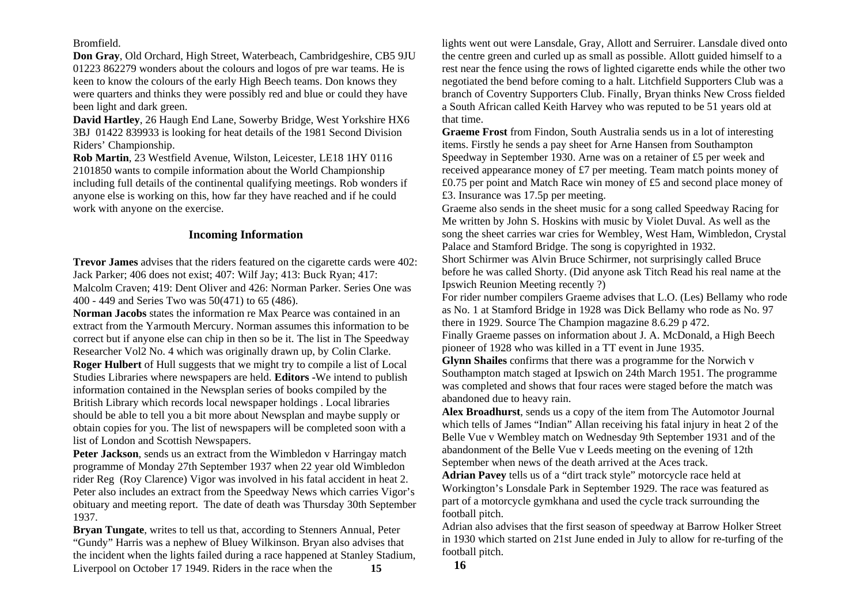Bromfield.

**Don Gray**, Old Orchard, High Street, Waterbeach, Cambridgeshire, CB5 9JU 01223 862279 wonders about the colours and logos of pre war teams. He is keen to know the colours of the early High Beech teams. Don knows they were quarters and thinks they were possibly red and blue or could they have been light and dark green.

**David Hartley**, 26 Haugh End Lane, Sowerby Bridge, West Yorkshire HX6 3BJ 01422 839933 is looking for heat details of the 1981 Second Division Riders' Championship.

**Rob Martin**, 23 Westfield Avenue, Wilston, Leicester, LE18 1HY 0116 2101850 wants to compile information about the World Championship including full details of the continental qualifying meetings. Rob wonders if anyone else is working on this, how far they have reached and if he could work with anyone on the exercise.

#### **Incoming Information**

**Trevor James** advises that the riders featured on the cigarette cards were 402: Jack Parker; 406 does not exist; 407: Wilf Jay; 413: Buck Ryan; 417: Malcolm Craven; 419: Dent Oliver and 426: Norman Parker. Series One was 400 - 449 and Series Two was 50(471) to 65 (486).

**Norman Jacobs** states the information re Max Pearce was contained in an extract from the Yarmouth Mercury. Norman assumes this information to be correct but if anyone else can chip in then so be it. The list in The Speedway Researcher Vol2 No. 4 which was originally drawn up, by Colin Clarke. **Roger Hulbert** of Hull suggests that we might try to compile a list of Local Studies Libraries where newspapers are held. **Editors -**We intend to publish information contained in the Newsplan series of books compiled by the British Library which records local newspaper holdings . Local libraries should be able to tell you a bit more about Newsplan and maybe supply or obtain copies for you. The list of newspapers will be completed soon with a list of London and Scottish Newspapers.

Peter Jackson, sends us an extract from the Wimbledon v Harringay match programme of Monday 27th September 1937 when 22 year old Wimbledon rider Reg (Roy Clarence) Vigor was involved in his fatal accident in heat 2. Peter also includes an extract from the Speedway News which carries Vigor's obituary and meeting report. The date of death was Thursday 30th September 1937.

**Bryan Tungate**, writes to tell us that, according to Stenners Annual, Peter "Gundy" Harris was a nephew of Bluey Wilkinson. Bryan also advises that the incident when the lights failed during a race happened at Stanley Stadium, Liverpool on October 17 1949. Riders in the race when the **15** 

lights went out were Lansdale, Gray, Allott and Serruirer. Lansdale dived onto the centre green and curled up as small as possible. Allott guided himself to a rest near the fence using the rows of lighted cigarette ends while the other two negotiated the bend before coming to a halt. Litchfield Supporters Club was a branch of Coventry Supporters Club. Finally, Bryan thinks New Cross fielded a South African called Keith Harvey who was reputed to be 51 years old at that time.

**Graeme Frost** from Findon, South Australia sends us in a lot of interesting items. Firstly he sends a pay sheet for Arne Hansen from Southampton Speedway in September 1930. Arne was on a retainer of £5 per week and received appearance money of £7 per meeting. Team match points money of £0.75 per point and Match Race win money of £5 and second place money of £3. Insurance was 17.5p per meeting.

Graeme also sends in the sheet music for a song called Speedway Racing for Me written by John S. Hoskins with music by Violet Duval. As well as the song the sheet carries war cries for Wembley, West Ham, Wimbledon, Crystal Palace and Stamford Bridge. The song is copyrighted in 1932.

Short Schirmer was Alvin Bruce Schirmer, not surprisingly called Bruce before he was called Shorty. (Did anyone ask Titch Read his real name at the Ipswich Reunion Meeting recently ?)

For rider number compilers Graeme advises that L.O. (Les) Bellamy who rode as No. 1 at Stamford Bridge in 1928 was Dick Bellamy who rode as No. 97 there in 1929. Source The Champion magazine 8.6.29 p 472.

Finally Graeme passes on information about J. A. McDonald, a High Beech pioneer of 1928 who was killed in a TT event in June 1935.

**Glynn Shailes** confirms that there was a programme for the Norwich v Southampton match staged at Ipswich on 24th March 1951. The programme was completed and shows that four races were staged before the match was abandoned due to heavy rain.

**Alex Broadhurst**, sends us a copy of the item from The Automotor Journal which tells of James "Indian" Allan receiving his fatal injury in heat 2 of the Belle Vue v Wembley match on Wednesday 9th September 1931 and of the abandonment of the Belle Vue v Leeds meeting on the evening of 12th September when news of the death arrived at the Aces track.

**Adrian Pavey** tells us of a "dirt track style" motorcycle race held at Workington's Lonsdale Park in September 1929. The race was featured as part of a motorcycle gymkhana and used the cycle track surrounding the football pitch.

Adrian also advises that the first season of speedway at Barrow Holker Street in 1930 which started on 21st June ended in July to allow for re-turfing of the football pitch.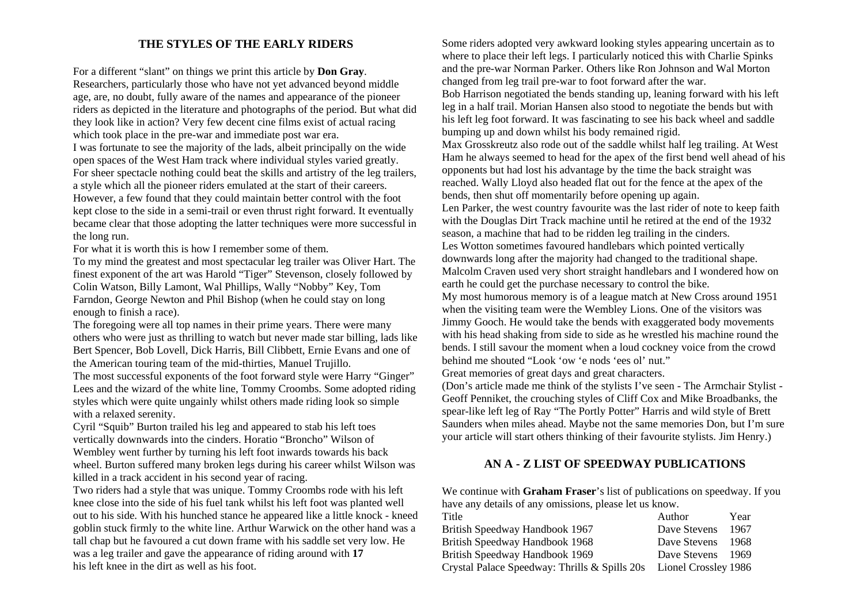#### **THE STYLES OF THE EARLY RIDERS**

For a different "slant" on things we print this article by **Don Gray**. Researchers, particularly those who have not yet advanced beyond middle age, are, no doubt, fully aware of the names and appearance of the pioneer riders as depicted in the literature and photographs of the period. But what did they look like in action? Very few decent cine films exist of actual racing which took place in the pre-war and immediate post war era. I was fortunate to see the majority of the lads, albeit principally on the wide open spaces of the West Ham track where individual styles varied greatly. For sheer spectacle nothing could beat the skills and artistry of the leg trailers, a style which all the pioneer riders emulated at the start of their careers. However, a few found that they could maintain better control with the foot kept close to the side in a semi-trail or even thrust right forward. It eventually became clear that those adopting the latter techniques were more successful in the long run.

For what it is worth this is how I remember some of them.

To my mind the greatest and most spectacular leg trailer was Oliver Hart. The finest exponent of the art was Harold "Tiger" Stevenson, closely followed by Colin Watson, Billy Lamont, Wal Phillips, Wally "Nobby" Key, Tom Farndon, George Newton and Phil Bishop (when he could stay on long enough to finish a race).

The foregoing were all top names in their prime years. There were many others who were just as thrilling to watch but never made star billing, lads like Bert Spencer, Bob Lovell, Dick Harris, Bill Clibbett, Ernie Evans and one of the American touring team of the mid-thirties, Manuel Trujillo.

The most successful exponents of the foot forward style were Harry "Ginger" Lees and the wizard of the white line, Tommy Croombs. Some adopted riding styles which were quite ungainly whilst others made riding look so simple with a relaxed serenity.

Cyril "Squib" Burton trailed his leg and appeared to stab his left toes vertically downwards into the cinders. Horatio "Broncho" Wilson of Wembley went further by turning his left foot inwards towards his back wheel. Burton suffered many broken legs during his career whilst Wilson was killed in a track accident in his second year of racing.

Two riders had a style that was unique. Tommy Croombs rode with his left knee close into the side of his fuel tank whilst his left foot was planted well out to his side. With his hunched stance he appeared like a little knock - kneed goblin stuck firmly to the white line. Arthur Warwick on the other hand was a tall chap but he favoured a cut down frame with his saddle set very low. He was a leg trailer and gave the appearance of riding around with **17**  his left knee in the dirt as well as his foot.

Some riders adopted very awkward looking styles appearing uncertain as to where to place their left legs. I particularly noticed this with Charlie Spinks and the pre-war Norman Parker. Others like Ron Johnson and Wal Morton changed from leg trail pre-war to foot forward after the war. Bob Harrison negotiated the bends standing up, leaning forward with his left leg in a half trail. Morian Hansen also stood to negotiate the bends but with his left leg foot forward. It was fascinating to see his back wheel and saddle bumping up and down whilst his body remained rigid. Max Grosskreutz also rode out of the saddle whilst half leg trailing. At West Ham he always seemed to head for the apex of the first bend well ahead of his opponents but had lost his advantage by the time the back straight was reached. Wally Lloyd also headed flat out for the fence at the apex of the bends, then shut off momentarily before opening up again. Len Parker, the west country favourite was the last rider of note to keep faith with the Douglas Dirt Track machine until he retired at the end of the 1932 season, a machine that had to be ridden leg trailing in the cinders. Les Wotton sometimes favoured handlebars which pointed vertically downwards long after the majority had changed to the traditional shape. Malcolm Craven used very short straight handlebars and I wondered how on earth he could get the purchase necessary to control the bike. My most humorous memory is of a league match at New Cross around 1951 when the visiting team were the Wembley Lions. One of the visitors was Jimmy Gooch. He would take the bends with exaggerated body movements with his head shaking from side to side as he wrestled his machine round the bends. I still savour the moment when a loud cockney voice from the crowd behind me shouted "Look 'ow 'e nods 'ees ol' nut." Great memories of great days and great characters. (Don's article made me think of the stylists I've seen - The Armchair Stylist -

Geoff Penniket, the crouching styles of Cliff Cox and Mike Broadbanks, the spear-like left leg of Ray "The Portly Potter" Harris and wild style of Brett Saunders when miles ahead. Maybe not the same memories Don, but I'm sure your article will start others thinking of their favourite stylists. Jim Henry.)

#### **AN A - Z LIST OF SPEEDWAY PUBLICATIONS**

We continue with **Graham Fraser**'s list of publications on speedway. If you have any details of any omissions, please let us know.

| Title                                         | Author               | Year  |
|-----------------------------------------------|----------------------|-------|
| British Speedway Handbook 1967                | Dave Stevens         | -1967 |
| British Speedway Handbook 1968                | Dave Stevens         | -1968 |
| British Speedway Handbook 1969                | Dave Stevens         | -1969 |
| Crystal Palace Speedway: Thrills & Spills 20s | Lionel Crossley 1986 |       |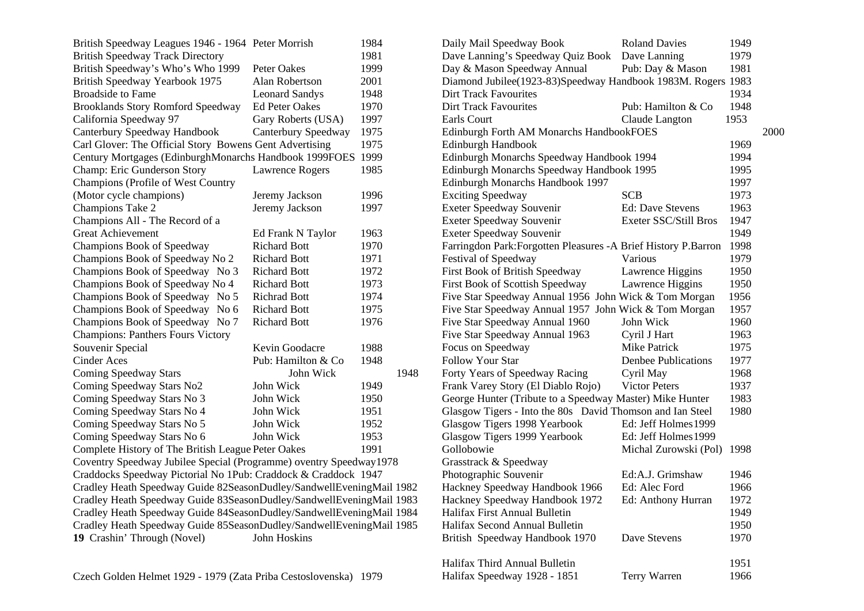| British Speedway Leagues 1946 - 1964 Peter Morrish                   |                       | 1984 |  |  |  |  |  |
|----------------------------------------------------------------------|-----------------------|------|--|--|--|--|--|
| <b>British Speedway Track Directory</b>                              |                       | 1981 |  |  |  |  |  |
| British Speedway's Who's Who 1999                                    | <b>Peter Oakes</b>    | 1999 |  |  |  |  |  |
| British Speedway Yearbook 1975                                       | Alan Robertson        | 2001 |  |  |  |  |  |
| <b>Broadside to Fame</b>                                             | <b>Leonard Sandys</b> | 1948 |  |  |  |  |  |
| <b>Brooklands Story Romford Speedway</b>                             | <b>Ed Peter Oakes</b> | 1970 |  |  |  |  |  |
| California Speedway 97                                               | Gary Roberts (USA)    | 1997 |  |  |  |  |  |
| Canterbury Speedway Handbook                                         | Canterbury Speedway   | 1975 |  |  |  |  |  |
| Carl Glover: The Official Story Bowens Gent Advertising              |                       | 1975 |  |  |  |  |  |
| Century Mortgages (EdinburghMonarchs Handbook 1999FOES               |                       | 1999 |  |  |  |  |  |
| Champ: Eric Gunderson Story                                          | Lawrence Rogers       | 1985 |  |  |  |  |  |
| Champions (Profile of West Country                                   |                       |      |  |  |  |  |  |
| (Motor cycle champions)                                              | Jeremy Jackson        | 1996 |  |  |  |  |  |
| Champions Take 2                                                     | Jeremy Jackson        | 1997 |  |  |  |  |  |
| Champions All - The Record of a                                      |                       |      |  |  |  |  |  |
| <b>Great Achievement</b>                                             | Ed Frank N Taylor     | 1963 |  |  |  |  |  |
| Champions Book of Speedway                                           | <b>Richard Bott</b>   | 1970 |  |  |  |  |  |
| Champions Book of Speedway No 2                                      | <b>Richard Bott</b>   | 1971 |  |  |  |  |  |
| Champions Book of Speedway No 3                                      | <b>Richard Bott</b>   | 1972 |  |  |  |  |  |
| Champions Book of Speedway No 4                                      | <b>Richard Bott</b>   | 1973 |  |  |  |  |  |
| Champions Book of Speedway No 5                                      | <b>Richrad Bott</b>   | 1974 |  |  |  |  |  |
| Champions Book of Speedway No 6                                      | <b>Richard Bott</b>   | 1975 |  |  |  |  |  |
| Champions Book of Speedway No 7                                      | <b>Richard Bott</b>   | 1976 |  |  |  |  |  |
| <b>Champions: Panthers Fours Victory</b>                             |                       |      |  |  |  |  |  |
| Souvenir Special                                                     | Kevin Goodacre        | 1988 |  |  |  |  |  |
| <b>Cinder Aces</b>                                                   | Pub: Hamilton & Co    | 1948 |  |  |  |  |  |
| <b>Coming Speedway Stars</b>                                         | John Wick             | 1948 |  |  |  |  |  |
| Coming Speedway Stars No2                                            | John Wick             | 1949 |  |  |  |  |  |
| Coming Speedway Stars No 3                                           | John Wick             | 1950 |  |  |  |  |  |
| Coming Speedway Stars No 4                                           | John Wick             | 1951 |  |  |  |  |  |
| Coming Speedway Stars No 5                                           | John Wick             | 1952 |  |  |  |  |  |
| Coming Speedway Stars No 6                                           | John Wick             | 1953 |  |  |  |  |  |
| Complete History of The British League Peter Oakes                   |                       | 1991 |  |  |  |  |  |
| Coventry Speedway Jubilee Special (Programme) oventry Speedway1978   |                       |      |  |  |  |  |  |
| Craddocks Speedway Pictorial No 1Pub: Craddock & Craddock 1947       |                       |      |  |  |  |  |  |
| Cradley Heath Speedway Guide 82SeasonDudley/SandwellEveningMail 1982 |                       |      |  |  |  |  |  |
| Cradley Heath Speedway Guide 83SeasonDudley/SandwellEveningMail 1983 |                       |      |  |  |  |  |  |
| Cradley Heath Speedway Guide 84SeasonDudley/SandwellEveningMail 1984 |                       |      |  |  |  |  |  |
| Cradley Heath Speedway Guide 85SeasonDudley/SandwellEveningMail 1985 |                       |      |  |  |  |  |  |
| 19 Crashin' Through (Novel)                                          | <b>John Hoskins</b>   |      |  |  |  |  |  |
|                                                                      |                       |      |  |  |  |  |  |

| Glasgow Tigers 1999 Yearbook   | Ed: Jeff Holmes 1999  |      |
|--------------------------------|-----------------------|------|
| Gollobowie                     | Michal Zurowski (Pol) | 1998 |
| Grasstrack & Speedway          |                       |      |
| Photographic Souvenir          | Ed:A.J. Grimshaw      | 1946 |
| Hackney Speedway Handbook 1966 | Ed: Alec Ford         | 1966 |
| Hackney Speedway Handbook 1972 | Ed: Anthony Hurran    | 1972 |
| Halifax First Annual Bulletin  |                       | 1949 |
| Halifax Second Annual Bulletin |                       | 1950 |
| British Speedway Handbook 1970 | Dave Stevens          | 1970 |
|                                |                       |      |
| Halifax Third Annual Bulletin  |                       | 1951 |
| Halifax Speedway 1928 - 1851   | Terry Warren          | 1966 |
|                                |                       |      |
|                                |                       |      |
|                                |                       |      |

Glasgow Tigers 1998 Yearbook Ed: Jeff Holmes 1999

Daily Mail Speedway Book Roland Davies 1949 Dave Lanning's Speedway Quiz Book Dave Lanning 1979 Day & Mason Speedway Annual Pub: Day & Mason 1981 Diamond Jubilee(1923-83)Speedway Handbook 1983M. Rogers 1983 Dirt Track Favourites 1934 Dirt Track Favourites Pub: Hamilton & Co 1948 Earls Court Claude Langton 1953

Edinburgh Forth AM Monarchs HandbookFOES 2000

Edinburgh Handbook 1969 Edinburgh Monarchs Speedway Handbook 1994 1994 Edinburgh Monarchs Speedway Handbook 1995 1995 Edinburgh Monarchs Handbook 1997 1997 Exciting Speedway SCB 1973 Exeter Speedway Souvenir Ed: Dave Stevens 1963 Exeter Speedway Souvenir Exeter SSC/Still Bros 1947 Exeter Speedway Souvenir 1949 Farringdon Park:Forgotten Pleasures -A Brief History P.Barron 1998 Festival of Speedway Various Various 1979 First Book of British Speedway Lawrence Higgins 1950 First Book of Scottish Speedway Lawrence Higgins 1950 Five Star Speedway Annual 1956 John Wick & Tom Morgan 1956 Five Star Speedway Annual 1957 John Wick & Tom Morgan 1957 Five Star Speedway Annual 1960 John Wick 1960 Five Star Speedway Annual 1963 Cyril J Hart 1963 Focus on Speedway Mike Patrick 1975 Follow Your Star Denbee Publications 1977 Forty Years of Speedway Racing Cyril May 1968 Frank Varey Story (El Diablo Rojo) Victor Peters 1937 George Hunter (Tribute to a Speedway Master) Mike Hunter 1983 Glasgow Tigers - Into the 80s David Thomson and Ian Steel 1980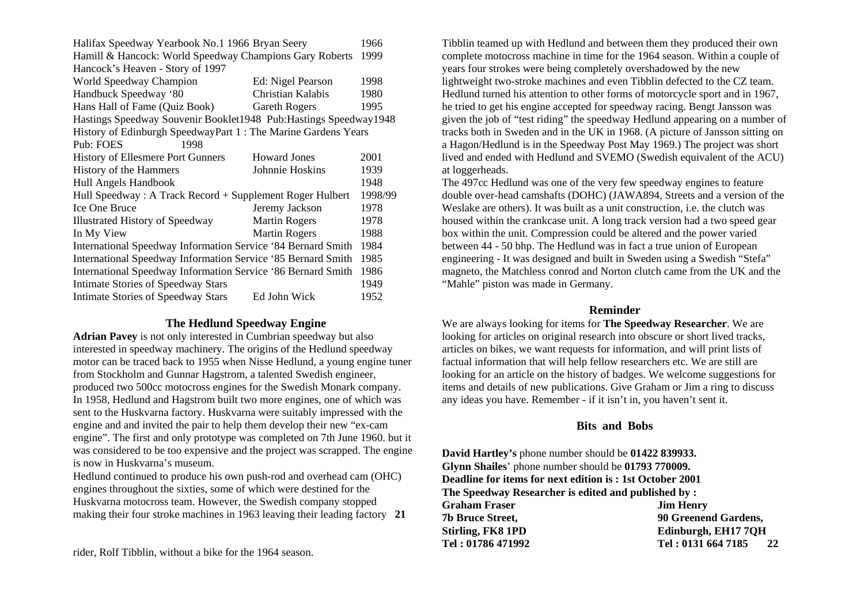| Halifax Speedway Yearbook No.1 1966 Bryan Seery                 |                                                                    |      |  |  |  |  |  |  |
|-----------------------------------------------------------------|--------------------------------------------------------------------|------|--|--|--|--|--|--|
| Hamill & Hancock: World Speedway Champions Gary Roberts         |                                                                    |      |  |  |  |  |  |  |
| Hancock's Heaven - Story of 1997                                |                                                                    |      |  |  |  |  |  |  |
| World Speedway Champion                                         | Ed: Nigel Pearson                                                  | 1998 |  |  |  |  |  |  |
| Handbuck Speedway '80                                           | Christian Kalabis                                                  | 1980 |  |  |  |  |  |  |
| Hans Hall of Fame (Quiz Book)                                   | <b>Gareth Rogers</b>                                               | 1995 |  |  |  |  |  |  |
|                                                                 | Hastings Speedway Souvenir Booklet1948 Pub: Hastings Speedway 1948 |      |  |  |  |  |  |  |
| History of Edinburgh SpeedwayPart 1: The Marine Gardens Years   |                                                                    |      |  |  |  |  |  |  |
| Pub: FOES<br>1998                                               |                                                                    |      |  |  |  |  |  |  |
| <b>History of Ellesmere Port Gunners</b><br><b>Howard Jones</b> |                                                                    |      |  |  |  |  |  |  |
| History of the Hammers<br>Johnnie Hoskins                       |                                                                    |      |  |  |  |  |  |  |
| Hull Angels Handbook                                            |                                                                    | 1948 |  |  |  |  |  |  |
| Hull Speedway: A Track Record + Supplement Roger Hulbert        |                                                                    |      |  |  |  |  |  |  |
| <b>Ice One Bruce</b>                                            | Jeremy Jackson                                                     | 1978 |  |  |  |  |  |  |
| <b>Illustrated History of Speedway</b>                          | <b>Martin Rogers</b>                                               | 1978 |  |  |  |  |  |  |
| In My View                                                      | <b>Martin Rogers</b>                                               | 1988 |  |  |  |  |  |  |
| International Speedway Information Service '84 Bernard Smith    |                                                                    |      |  |  |  |  |  |  |
| International Speedway Information Service '85 Bernard Smith    |                                                                    |      |  |  |  |  |  |  |
| International Speedway Information Service '86 Bernard Smith    |                                                                    |      |  |  |  |  |  |  |
| <b>Intimate Stories of Speedway Stars</b>                       |                                                                    | 1949 |  |  |  |  |  |  |
| <b>Intimate Stories of Speedway Stars</b>                       | Ed John Wick                                                       | 1952 |  |  |  |  |  |  |

#### **The Hedlund Speedway Engine**

**Adrian Pavey** is not only interested in Cumbrian speedway but also interested in speedway machinery. The origins of the Hedlund speedway motor can be traced back to 1955 when Nisse Hedlund, a young engine tuner from Stockholm and Gunnar Hagstrom, a talented Swedish engineer, produced two 500cc motocross engines for the Swedish Monark company. In 1958, Hedlund and Hagstrom built two more engines, one of which was sent to the Huskvarna factory. Huskvarna were suitably impressed with the engine and and invited the pair to help them develop their new "ex-cam engine". The first and only prototype was completed on 7th June 1960. but it was considered to be too expensive and the project was scrapped. The engine is now in Huskvarna's museum.

Hedlund continued to produce his own push-rod and overhead cam (OHC) engines throughout the sixties, some of which were destined for the Huskvarna motocross team. However, the Swedish company stopped making their four stroke machines in 1963 leaving their leading factory **21** 

rider, Rolf Tibblin, without a bike for the 1964 season.

Tibblin teamed up with Hedlund and between them they produced their own complete motocross machine in time for the 1964 season. Within a couple of years four strokes were being completely overshadowed by the new lightweight two-stroke machines and even Tibblin defected to the CZ team. Hedlund turned his attention to other forms of motorcycle sport and in 1967, he tried to get his engine accepted for speedway racing. Bengt Jansson was given the job of "test riding" the speedway Hedlund appearing on a number of tracks both in Sweden and in the UK in 1968. (A picture of Jansson sitting on a Hagon/Hedlund is in the Speedway Post May 1969.) The project was short lived and ended with Hedlund and SVEMO (Swedish equivalent of the ACU) at loggerheads.

The 497cc Hedlund was one of the very few speedway engines to feature double over-head camshafts (DOHC) (JAWA894, Streets and a version of the Weslake are others). It was built as a unit construction, i.e. the clutch was housed within the crankcase unit. A long track version had a two speed gear box within the unit. Compression could be altered and the power varied between 44 - 50 bhp. The Hedlund was in fact a true union of European engineering - It was designed and built in Sweden using a Swedish "Stefa" magneto, the Matchless conrod and Norton clutch came from the UK and the "Mahle" piston was made in Germany.

#### **Reminder**

We are always looking for items for **The Speedway Researcher**. We are looking for articles on original research into obscure or short lived tracks, articles on bikes, we want requests for information, and will print lists of factual information that will help fellow researchers etc. We are still are looking for an article on the history of badges. We welcome suggestions for items and details of new publications. Give Graham or Jim a ring to discuss any ideas you have. Remember - if it isn't in, you haven't sent it.

#### **Bits and Bobs**

**David Hartley's** phone number should be **01422 839933. Glynn Shailes**' phone number should be **01793 770009. Deadline for items for next edition is : 1st October 2001 The Speedway Researcher is edited and published by :**  Graham Fraser **Jim Henry 7b Bruce Street, 90 Greenend Gardens,**  Stirling, FK8 1PD **Edinburgh, EH17 7OH Tel : 01786 471992 Tel : 0131 664 7185 22**